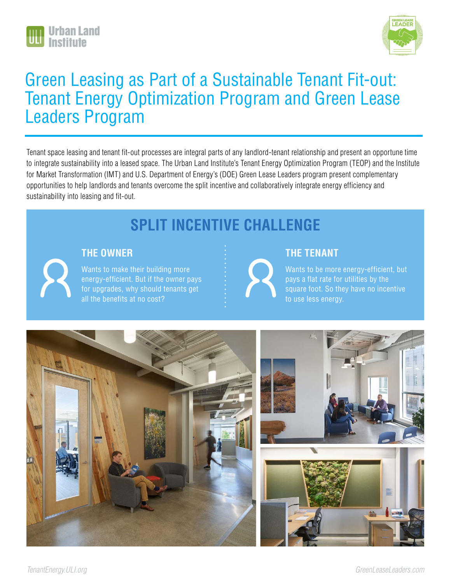



# Green Leasing as Part of a Sustainable Tenant Fit-out: Tenant Energy Optimization Program and Green Lease Leaders Program

Tenant space leasing and tenant fit-out processes are integral parts of any landlord-tenant relationship and present an opportune time to integrate sustainability into a leased space. The Urban Land Institute's Tenant Energy Optimization Program (TEOP) and the Institute for Market Transformation (IMT) and U.S. Department of Energy's (DOE) Green Lease Leaders program present complementary opportunities to help landlords and tenants overcome the split incentive and collaboratively integrate energy efficiency and sustainability into leasing and fit-out.

# **SPLIT INCENTIVE CHALLENGE**

### **THE OWNER**

Wants to make their building more energy-efficient. But if the owner pays for upgrades, why should tenants get all the benefits at no cost?

## **THE TENANT**

Wants to be more energy-efficient, but pays a flat rate for utilities by the square foot. So they have no incentive to use less energy.

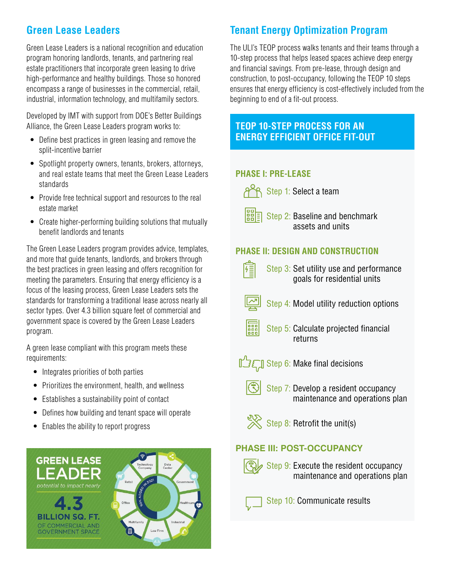# **Green Lease Leaders**

Green Lease Leaders is a national recognition and education program honoring landlords, tenants, and partnering real estate practitioners that incorporate green leasing to drive high-performance and healthy buildings. Those so honored encompass a range of businesses in the commercial, retail, industrial, information technology, and multifamily sectors.

Developed by IMT with support from DOE's Better Buildings Alliance, the Green Lease Leaders program works to:

- Define best practices in green leasing and remove the split-incentive barrier
- Spotlight property owners, tenants, brokers, attorneys, and real estate teams that meet the Green Lease Leaders standards
- Provide free technical support and resources to the real estate market
- Create higher-performing building solutions that mutually benefit landlords and tenants

The Green Lease Leaders program provides advice, templates, and more that guide tenants, landlords, and brokers through the best practices in green leasing and offers recognition for meeting the parameters. Ensuring that energy efficiency is a focus of the leasing process, Green Lease Leaders sets the standards for transforming a traditional lease across nearly all sector types. Over 4.3 billion square feet of commercial and government space is covered by the Green Lease Leaders program.

A green lease compliant with this program meets these requirements:

- Integrates priorities of both parties
- Prioritizes the environment, health, and wellness
- Establishes a sustainability point of contact
- Defines how building and tenant space will operate
- Enables the ability to report progress



# **Tenant Energy Optimization Program**

The ULI's TEOP process walks tenants and their teams through a 10-step process that helps leased spaces achieve deep energy and financial savings. From pre-lease, through design and construction, to post-occupancy, following the TEOP 10 steps ensures that energy efficiency is cost-effectively included from the beginning to end of a fit-out process.

## **TEOP 10-STEP PROCESS FOR AN ENERGY EFFICIENT OFFICE FIT-OUT**

### **PHASE I: PRE-LEASE**

 $\beta$  Step 1: Select a team



Step 2: Baseline and benchmark assets and units

## **PHASE II: DESIGN AND CONSTRUCTION**

雁 Step 3: Set utility use and performance goals for residential units Step 4: Model utility reduction options Step 5: Calculate projected financial returns  $\mathbb{Z}$  Step 6: Make final decisions Step 7: Develop a resident occupancy maintenance and operations plan  $\frac{S}{S}$  Step 8: Retrofit the unit(s) **PHASE III: POST-OCCUPANCY** Step 9: Execute the resident occupancy maintenance and operations plan Step 10: Communicate results